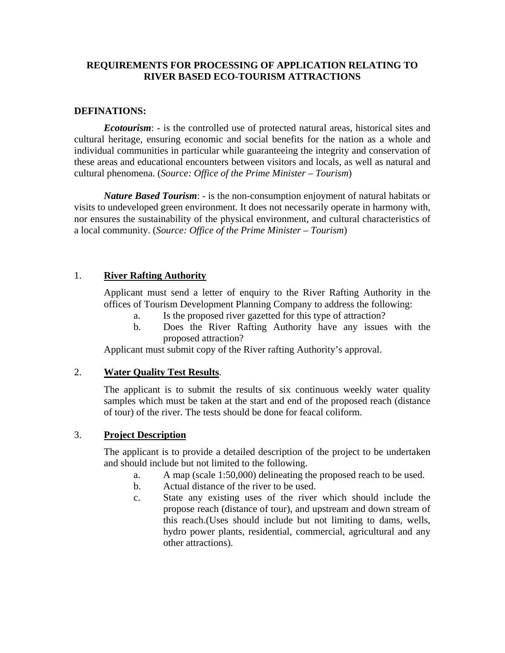### **REQUIREMENTS FOR PROCESSING OF APPLICATION RELATING TO RIVER BASED ECO-TOURISM ATTRACTIONS**

#### **DEFINATIONS:**

*Ecotourism*: - is the controlled use of protected natural areas, historical sites and cultural heritage, ensuring economic and social benefits for the nation as a whole and individual communities in particular while guaranteeing the integrity and conservation of these areas and educational encounters between visitors and locals, as well as natural and cultural phenomena. (*Source: Office of the Prime Minister – Tourism*)

*Nature Based Tourism*: - is the non-consumption enjoyment of natural habitats or visits to undeveloped green environment. It does not necessarily operate in harmony with, nor ensures the sustainability of the physical environment, and cultural characteristics of a local community. (*Source: Office of the Prime Minister – Tourism*)

## 1. **River Rafting Authority**

Applicant must send a letter of enquiry to the River Rafting Authority in the offices of Tourism Development Planning Company to address the following:

- a. Is the proposed river gazetted for this type of attraction?
- b. Does the River Rafting Authority have any issues with the proposed attraction?

Applicant must submit copy of the River rafting Authority's approval.

## 2. **Water Quality Test Results**.

The applicant is to submit the results of six continuous weekly water quality samples which must be taken at the start and end of the proposed reach (distance of tour) of the river. The tests should be done for feacal coliform.

#### 3. **Project Description**

The applicant is to provide a detailed description of the project to be undertaken and should include but not limited to the following.

- a. A map (scale 1:50,000) delineating the proposed reach to be used.
- b. Actual distance of the river to be used.
- c. State any existing uses of the river which should include the propose reach (distance of tour), and upstream and down stream of this reach.(Uses should include but not limiting to dams, wells, hydro power plants, residential, commercial, agricultural and any other attractions).